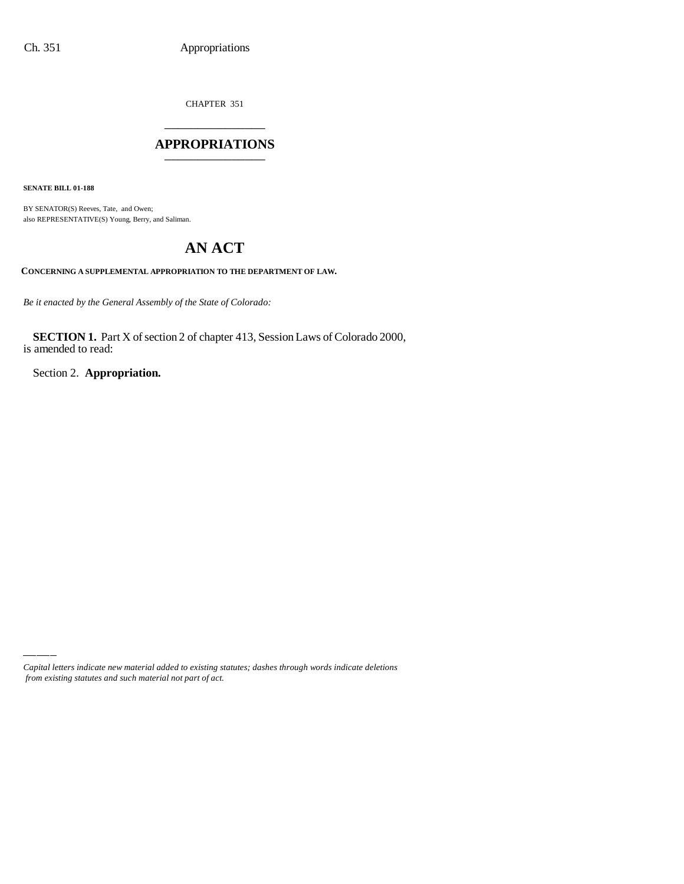CHAPTER 351 \_\_\_\_\_\_\_\_\_\_\_\_\_\_\_

### **APPROPRIATIONS** \_\_\_\_\_\_\_\_\_\_\_\_\_\_\_

**SENATE BILL 01-188**

BY SENATOR(S) Reeves, Tate, and Owen; also REPRESENTATIVE(S) Young, Berry, and Saliman.

# **AN ACT**

**CONCERNING A SUPPLEMENTAL APPROPRIATION TO THE DEPARTMENT OF LAW.**

*Be it enacted by the General Assembly of the State of Colorado:*

**SECTION 1.** Part X of section 2 of chapter 413, Session Laws of Colorado 2000, is amended to read:

Section 2. **Appropriation.**

*Capital letters indicate new material added to existing statutes; dashes through words indicate deletions from existing statutes and such material not part of act.*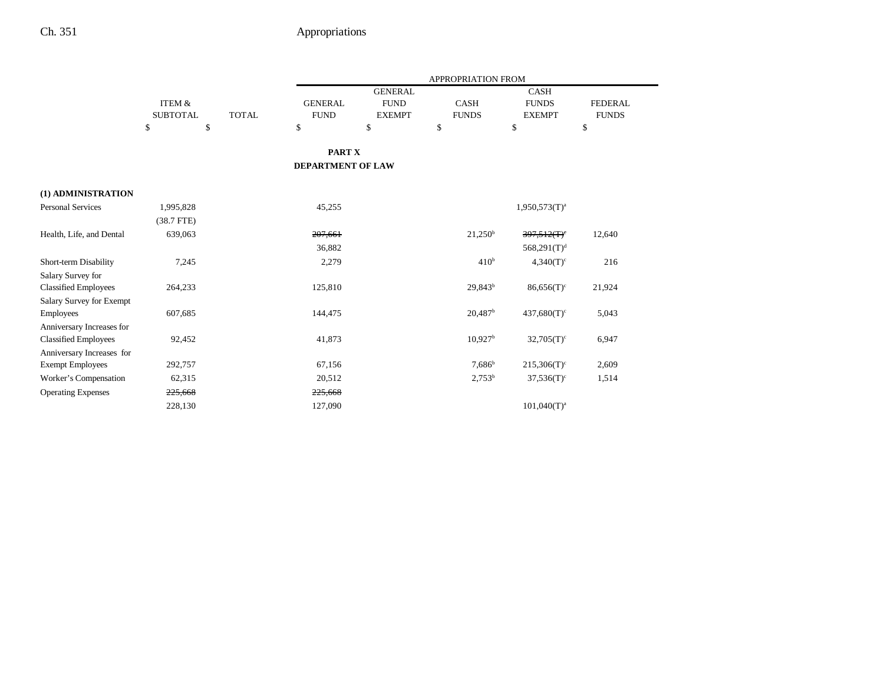|                             |                 |              |                          |                | APPROPRIATION FROM    |                           |                |
|-----------------------------|-----------------|--------------|--------------------------|----------------|-----------------------|---------------------------|----------------|
|                             |                 |              |                          | <b>GENERAL</b> |                       | <b>CASH</b>               |                |
|                             | ITEM &          |              | <b>GENERAL</b>           | <b>FUND</b>    | <b>CASH</b>           | <b>FUNDS</b>              | <b>FEDERAL</b> |
|                             | <b>SUBTOTAL</b> | <b>TOTAL</b> | <b>FUND</b>              | <b>EXEMPT</b>  | <b>FUNDS</b>          | <b>EXEMPT</b>             | <b>FUNDS</b>   |
|                             | \$              | \$           | \$                       | \$             | \$                    | \$                        | \$             |
|                             |                 |              | PART X                   |                |                       |                           |                |
|                             |                 |              | <b>DEPARTMENT OF LAW</b> |                |                       |                           |                |
| (1) ADMINISTRATION          |                 |              |                          |                |                       |                           |                |
| <b>Personal Services</b>    | 1,995,828       |              | 45,255                   |                |                       | $1,950,573(T)^{a}$        |                |
|                             | $(38.7$ FTE)    |              |                          |                |                       |                           |                |
| Health, Life, and Dental    | 639,063         |              | 207,661                  |                | $21,250^{\rm b}$      | 397,512(T)                | 12,640         |
|                             |                 |              | 36,882                   |                |                       | $568,291(T)^d$            |                |
| Short-term Disability       | 7,245           |              | 2,279                    |                | 410 <sup>b</sup>      | $4,340(T)^c$              | 216            |
| Salary Survey for           |                 |              |                          |                |                       |                           |                |
| <b>Classified Employees</b> | 264,233         |              | 125,810                  |                | $29,843^b$            | $86,656(T)^c$             | 21,924         |
| Salary Survey for Exempt    |                 |              |                          |                |                       |                           |                |
| Employees                   | 607,685         |              | 144,475                  |                | $20,487$ <sup>b</sup> | $437,680(T)^c$            | 5,043          |
| Anniversary Increases for   |                 |              |                          |                |                       |                           |                |
| <b>Classified Employees</b> | 92,452          |              | 41,873                   |                | $10,927$ <sup>b</sup> | $32,705(T)^c$             | 6,947          |
| Anniversary Increases for   |                 |              |                          |                |                       |                           |                |
| <b>Exempt Employees</b>     | 292,757         |              | 67,156                   |                | $7,686^{\rm b}$       | $215,306(T)$ <sup>c</sup> | 2,609          |
| Worker's Compensation       | 62,315          |              | 20,512                   |                | $2,753^b$             | $37,536(T)^c$             | 1,514          |
| <b>Operating Expenses</b>   | 225,668         |              | 225,668                  |                |                       |                           |                |
|                             | 228,130         |              | 127,090                  |                |                       | $101,040(T)^a$            |                |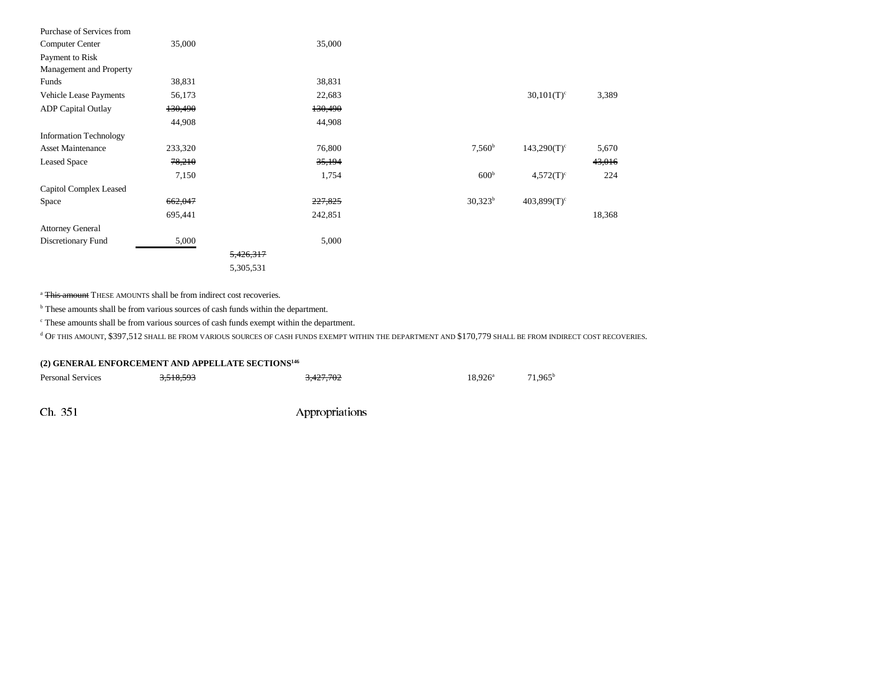| Purchase of Services from     |         |           |         |                  |                           |        |
|-------------------------------|---------|-----------|---------|------------------|---------------------------|--------|
| Computer Center               | 35,000  |           | 35,000  |                  |                           |        |
| Payment to Risk               |         |           |         |                  |                           |        |
| Management and Property       |         |           |         |                  |                           |        |
| Funds                         | 38,831  |           | 38,831  |                  |                           |        |
| Vehicle Lease Payments        | 56,173  |           | 22,683  |                  | $30,101(T)^c$             | 3,389  |
| <b>ADP</b> Capital Outlay     | 130,490 |           | 130,490 |                  |                           |        |
|                               | 44,908  |           | 44,908  |                  |                           |        |
| <b>Information Technology</b> |         |           |         |                  |                           |        |
| <b>Asset Maintenance</b>      | 233,320 |           | 76,800  | $7,560^{\rm b}$  | $143,290(T)^c$            | 5,670  |
| <b>Leased Space</b>           | 78,210  |           | 35,194  |                  |                           | 43,016 |
|                               | 7,150   |           | 1,754   | 600 <sup>b</sup> | $4,572(T)^c$              | 224    |
| Capitol Complex Leased        |         |           |         |                  |                           |        |
| Space                         | 662,047 |           | 227,825 | $30,323^b$       | $403,899(T)$ <sup>c</sup> |        |
|                               | 695,441 |           | 242,851 |                  |                           | 18,368 |
| <b>Attorney General</b>       |         |           |         |                  |                           |        |
| Discretionary Fund            | 5,000   |           | 5,000   |                  |                           |        |
|                               |         | 5,426,317 |         |                  |                           |        |
|                               |         | 5,305,531 |         |                  |                           |        |
|                               |         |           |         |                  |                           |        |

<sup>a</sup> This amount THESE AMOUNTS shall be from indirect cost recoveries.

 $^{\rm b}$  These amounts shall be from various sources of cash funds within the department.

 $\,^{\mathrm{c}}$  These amounts shall be from various sources of cash funds exempt within the department.

 $^{\rm d}$  OF THIS AMOUNT, \$397,512 SHALL BE FROM VARIOUS SOURCES OF CASH FUNDS EXEMPT WITHIN THE DEPARTMENT AND \$170,779 SHALL BE FROM INDIRECT COST RECOVERIES.

### **(2) GENERAL ENFORCEMENT AND APPELLATE SECTIONS146**

| <b>Personal Services</b> | <del>3,518,593</del> | 3,427,702 | $18.926^{\circ}$ | $71,965^{\circ}$ |
|--------------------------|----------------------|-----------|------------------|------------------|
|                          |                      |           |                  |                  |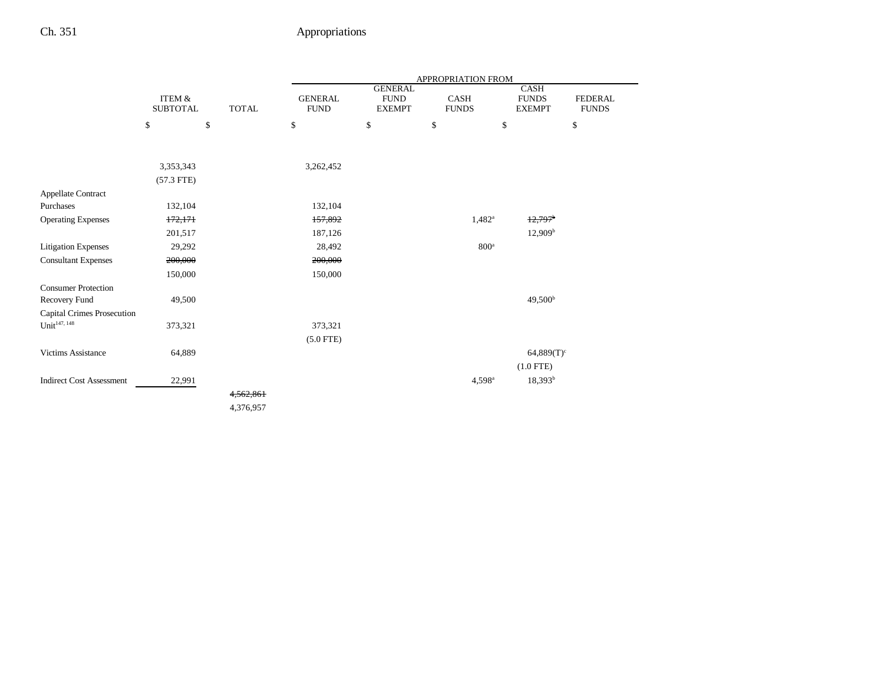|                                             |                           |              |                               |                                                | APPROPRIATION FROM   |                                              |                                |
|---------------------------------------------|---------------------------|--------------|-------------------------------|------------------------------------------------|----------------------|----------------------------------------------|--------------------------------|
|                                             | ITEM &<br><b>SUBTOTAL</b> | <b>TOTAL</b> | <b>GENERAL</b><br><b>FUND</b> | <b>GENERAL</b><br><b>FUND</b><br><b>EXEMPT</b> | CASH<br><b>FUNDS</b> | <b>CASH</b><br><b>FUNDS</b><br><b>EXEMPT</b> | <b>FEDERAL</b><br><b>FUNDS</b> |
|                                             | \$                        | \$           | \$                            | $\mathbb{S}$                                   | \$                   | \$                                           | \$                             |
|                                             |                           |              |                               |                                                |                      |                                              |                                |
|                                             | 3,353,343                 |              | 3,262,452                     |                                                |                      |                                              |                                |
|                                             | $(57.3$ FTE)              |              |                               |                                                |                      |                                              |                                |
| Appellate Contract<br>Purchases             | 132,104                   |              | 132,104                       |                                                |                      |                                              |                                |
| <b>Operating Expenses</b>                   | 172,171                   |              | 157,892                       |                                                | $1,482^{\rm a}$      | $12,797$ <sup>b</sup>                        |                                |
|                                             | 201,517                   |              | 187,126                       |                                                |                      | 12,909 <sup>b</sup>                          |                                |
|                                             |                           |              |                               |                                                | 800 <sup>a</sup>     |                                              |                                |
| Litigation Expenses                         | 29,292                    |              | 28,492                        |                                                |                      |                                              |                                |
| <b>Consultant Expenses</b>                  | 200,000                   |              | 200,000                       |                                                |                      |                                              |                                |
|                                             | 150,000                   |              | 150,000                       |                                                |                      |                                              |                                |
| <b>Consumer Protection</b><br>Recovery Fund | 49,500                    |              |                               |                                                |                      | 49,500 <sup>b</sup>                          |                                |
| <b>Capital Crimes Prosecution</b>           |                           |              |                               |                                                |                      |                                              |                                |
| $Unit^{147, 148}$                           | 373,321                   |              | 373,321                       |                                                |                      |                                              |                                |
|                                             |                           |              | $(5.0$ FTE)                   |                                                |                      |                                              |                                |
| Victims Assistance                          | 64,889                    |              |                               |                                                |                      | $64,889(T)^c$                                |                                |
|                                             |                           |              |                               |                                                |                      | $(1.0$ FTE)                                  |                                |
| <b>Indirect Cost Assessment</b>             | 22,991                    |              |                               |                                                | 4,598 <sup>a</sup>   | $18,393^b$                                   |                                |
|                                             |                           | 4,562,861    |                               |                                                |                      |                                              |                                |
|                                             |                           | 4,376,957    |                               |                                                |                      |                                              |                                |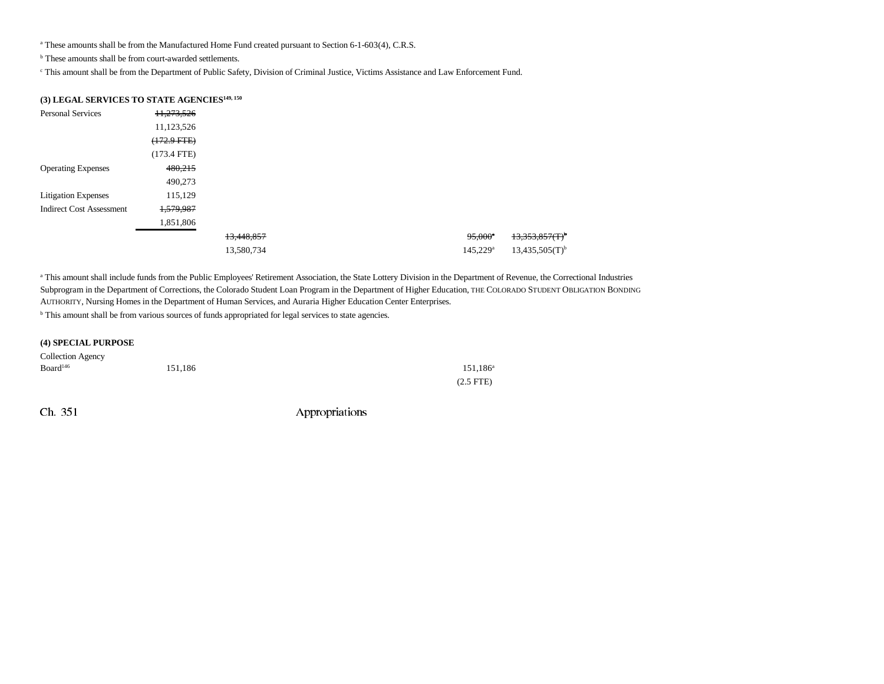<sup>a</sup> These amounts shall be from the Manufactured Home Fund created pursuant to Section 6-1-603(4), C.R.S.

b These amounts shall be from court-awarded settlements.

c This amount shall be from the Department of Public Safety, Division of Criminal Justice, Victims Assistance and Law Enforcement Fund.

### **(3) LEGAL SERVICES TO STATE AGENCIES149, 150**

| <b>Personal Services</b>        | 11,273,526       |            |  |                      |                     |
|---------------------------------|------------------|------------|--|----------------------|---------------------|
|                                 | 11,123,526       |            |  |                      |                     |
|                                 | $(172.9$ FTE $)$ |            |  |                      |                     |
|                                 | (173.4 FTE)      |            |  |                      |                     |
| <b>Operating Expenses</b>       | 480,215          |            |  |                      |                     |
|                                 | 490,273          |            |  |                      |                     |
| <b>Litigation Expenses</b>      | 115,129          |            |  |                      |                     |
| <b>Indirect Cost Assessment</b> | 1,579,987        |            |  |                      |                     |
|                                 | 1,851,806        |            |  |                      |                     |
|                                 |                  | 13,448,857 |  | $95,000^{\circ}$     | $13.353.857(T)^{b}$ |
|                                 |                  | 13,580,734 |  | 145,229 <sup>a</sup> | $13,435,505(T)^{b}$ |

<sup>a</sup> This amount shall include funds from the Public Employees' Retirement Association, the State Lottery Division in the Department of Revenue, the Correctional Industries Subprogram in the Department of Corrections, the Colorado Student Loan Program in the Department of Higher Education, THE COLORADO STUDENT OBLIGATION BONDING AUTHORITY, Nursing Homes in the Department of Human Services, and Auraria Higher Education Center Enterprises.

b This amount shall be from various sources of funds appropriated for legal services to state agencies.

#### **(4) SPECIAL PURPOSE**

| Collection Agency    |         |             |
|----------------------|---------|-------------|
| Board <sup>146</sup> | 151.186 | $151.186^a$ |
|                      |         | $(2.5$ FTE) |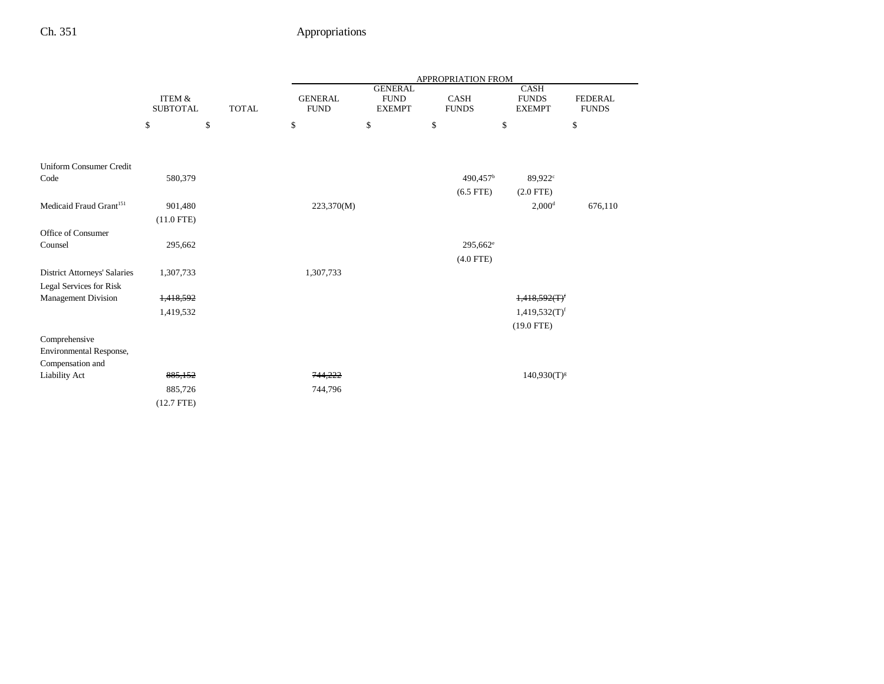|                                     |                                      |              |                               |                                                | APPROPRIATION FROM     |                                              |                                |
|-------------------------------------|--------------------------------------|--------------|-------------------------------|------------------------------------------------|------------------------|----------------------------------------------|--------------------------------|
|                                     | <b>ITEM &amp;</b><br><b>SUBTOTAL</b> | <b>TOTAL</b> | <b>GENERAL</b><br><b>FUND</b> | <b>GENERAL</b><br><b>FUND</b><br><b>EXEMPT</b> | CASH<br><b>FUNDS</b>   | <b>CASH</b><br><b>FUNDS</b><br><b>EXEMPT</b> | <b>FEDERAL</b><br><b>FUNDS</b> |
|                                     | \$                                   | \$           | \$                            | \$                                             | \$                     | \$                                           | \$                             |
|                                     |                                      |              |                               |                                                |                        |                                              |                                |
| Uniform Consumer Credit             |                                      |              |                               |                                                |                        |                                              |                                |
| Code                                | 580,379                              |              |                               |                                                | $490,457$ <sup>b</sup> | 89,922 <sup>c</sup>                          |                                |
|                                     |                                      |              |                               |                                                | $(6.5$ FTE)            | $(2.0$ FTE)                                  |                                |
| Medicaid Fraud Grant <sup>151</sup> | 901,480                              |              | 223,370(M)                    |                                                |                        | $2,000$ <sup>d</sup>                         | 676,110                        |
|                                     | $(11.0$ FTE)                         |              |                               |                                                |                        |                                              |                                |
| Office of Consumer                  |                                      |              |                               |                                                |                        |                                              |                                |
| Counsel                             | 295,662                              |              |                               |                                                | $295,662^e$            |                                              |                                |
|                                     |                                      |              |                               |                                                | $(4.0$ FTE)            |                                              |                                |
| <b>District Attorneys' Salaries</b> | 1,307,733                            |              | 1,307,733                     |                                                |                        |                                              |                                |
| Legal Services for Risk             |                                      |              |                               |                                                |                        |                                              |                                |
| <b>Management Division</b>          | 1,418,592                            |              |                               |                                                |                        | 1,418,592(T)                                 |                                |
|                                     | 1,419,532                            |              |                               |                                                |                        | $1,419,532(T)$ <sup>f</sup>                  |                                |
|                                     |                                      |              |                               |                                                |                        | $(19.0$ FTE)                                 |                                |
| Comprehensive                       |                                      |              |                               |                                                |                        |                                              |                                |
| Environmental Response,             |                                      |              |                               |                                                |                        |                                              |                                |
| Compensation and                    |                                      |              |                               |                                                |                        |                                              |                                |
| <b>Liability Act</b>                | 885,152                              |              | 744,222                       |                                                |                        | $140,930(T)^{g}$                             |                                |
|                                     | 885,726                              |              | 744,796                       |                                                |                        |                                              |                                |
|                                     | $(12.7$ FTE)                         |              |                               |                                                |                        |                                              |                                |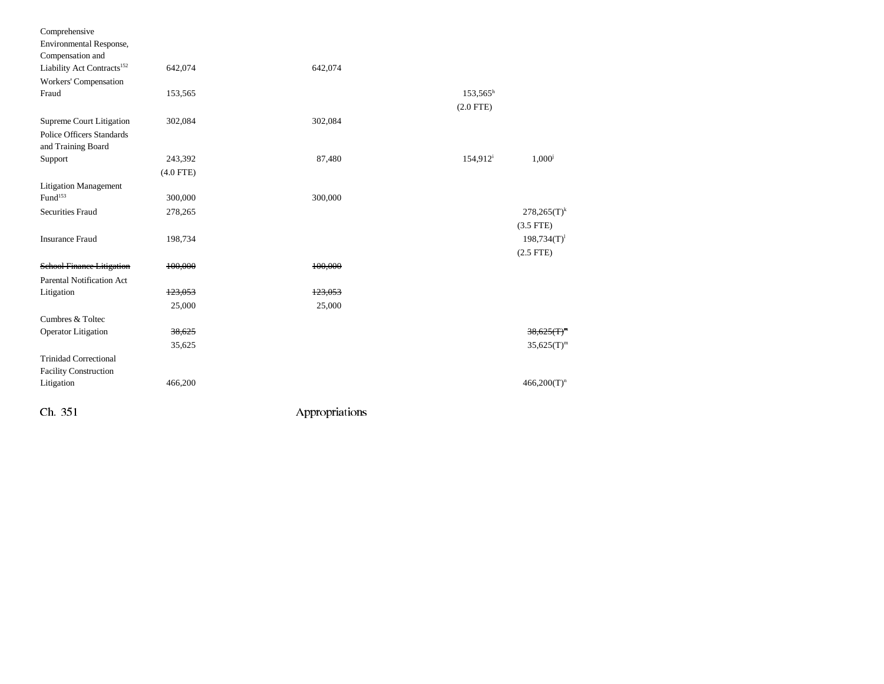| Comprehensive                          |             |                |                      |                |
|----------------------------------------|-------------|----------------|----------------------|----------------|
| Environmental Response,                |             |                |                      |                |
| Compensation and                       |             |                |                      |                |
| Liability Act Contracts <sup>152</sup> | 642,074     | 642,074        |                      |                |
| Workers' Compensation                  |             |                |                      |                |
| Fraud                                  | 153,565     |                | $153,565^h$          |                |
|                                        |             |                | $(2.0$ FTE)          |                |
| Supreme Court Litigation               | 302,084     | 302,084        |                      |                |
| <b>Police Officers Standards</b>       |             |                |                      |                |
| and Training Board                     |             |                |                      |                |
| Support                                | 243,392     | 87,480         | 154,912 <sup>i</sup> | $1,000^{j}$    |
|                                        | $(4.0$ FTE) |                |                      |                |
| <b>Litigation Management</b>           |             |                |                      |                |
| Fund <sup>153</sup>                    | 300,000     | 300,000        |                      |                |
| <b>Securities Fraud</b>                | 278,265     |                |                      | $278,265(T)^k$ |
|                                        |             |                |                      | $(3.5$ FTE)    |
| <b>Insurance Fraud</b>                 | 198,734     |                |                      | $198,734(T)^1$ |
|                                        |             |                |                      | $(2.5$ FTE)    |
| <b>School Finance Litigation</b>       | 100,000     | 100,000        |                      |                |
| <b>Parental Notification Act</b>       |             |                |                      |                |
| Litigation                             | 123,053     | 123,053        |                      |                |
|                                        | 25,000      | 25,000         |                      |                |
| Cumbres & Toltec                       |             |                |                      |                |
| <b>Operator</b> Litigation             | 38,625      |                |                      | $38,625(T)^m$  |
|                                        | 35,625      |                |                      | $35,625(T)^m$  |
| <b>Trinidad Correctional</b>           |             |                |                      |                |
| <b>Facility Construction</b>           |             |                |                      |                |
| Litigation                             | 466,200     |                |                      | $466,200(T)^n$ |
| Ch 351                                 |             | Appropriations |                      |                |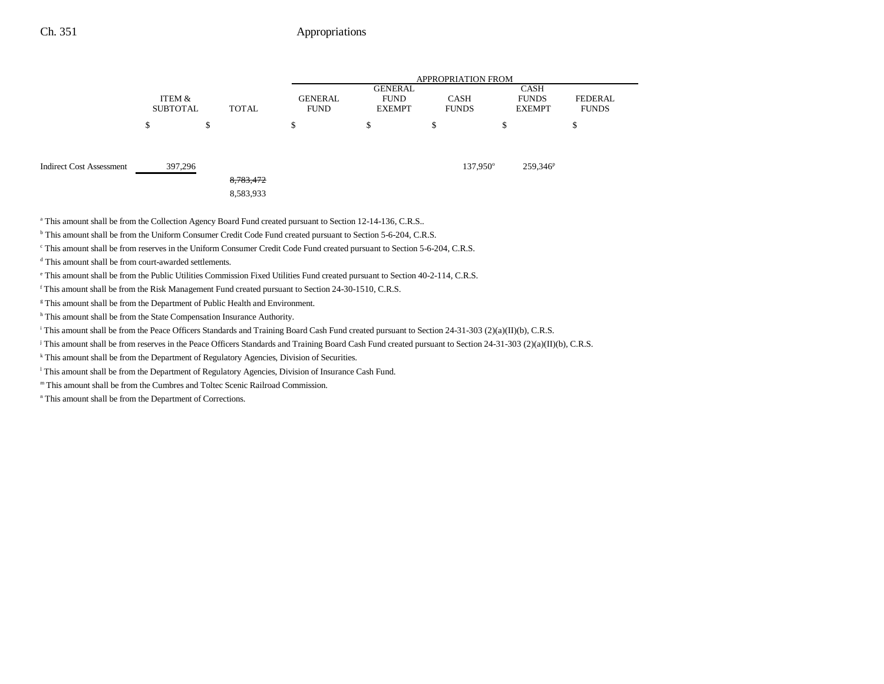|                                 |                           |                        |                               |                                                | <b>APPROPRIATION FROM</b>   |                                              |                                |
|---------------------------------|---------------------------|------------------------|-------------------------------|------------------------------------------------|-----------------------------|----------------------------------------------|--------------------------------|
|                                 | ITEM &<br><b>SUBTOTAL</b> | TOTAL                  | <b>GENERAL</b><br><b>FUND</b> | <b>GENERAL</b><br><b>FUND</b><br><b>EXEMPT</b> | <b>CASH</b><br><b>FUNDS</b> | <b>CASH</b><br><b>FUNDS</b><br><b>EXEMPT</b> | <b>FEDERAL</b><br><b>FUNDS</b> |
|                                 | Φ                         | \$                     | \$                            | \$                                             | \$                          | \$                                           | ъ                              |
| <b>Indirect Cost Assessment</b> | 397,296                   | 8,783,472<br>8,583,933 |                               |                                                | 137,950°                    | 259,346 <sup>p</sup>                         |                                |

<sup>a</sup> This amount shall be from the Collection Agency Board Fund created pursuant to Section 12-14-136, C.R.S..

b This amount shall be from the Uniform Consumer Credit Code Fund created pursuant to Section 5-6-204, C.R.S.

c This amount shall be from reserves in the Uniform Consumer Credit Code Fund created pursuant to Section 5-6-204, C.R.S.

d This amount shall be from court-awarded settlements.

e This amount shall be from the Public Utilities Commission Fixed Utilities Fund created pursuant to Section 40-2-114, C.R.S.

f This amount shall be from the Risk Management Fund created pursuant to Section 24-30-1510, C.R.S.

<sup>g</sup> This amount shall be from the Department of Public Health and Environment.

h This amount shall be from the State Compensation Insurance Authority.

i This amount shall be from the Peace Officers Standards and Training Board Cash Fund created pursuant to Section 24-31-303 (2)(a)(II)(b), C.R.S.

j This amount shall be from reserves in the Peace Officers Standards and Training Board Cash Fund created pursuant to Section 24-31-303 (2)(a)(II)(b), C.R.S.

k This amount shall be from the Department of Regulatory Agencies, Division of Securities.

<sup>1</sup> This amount shall be from the Department of Regulatory Agencies, Division of Insurance Cash Fund.

m This amount shall be from the Cumbres and Toltec Scenic Railroad Commission.

n This amount shall be from the Department of Corrections.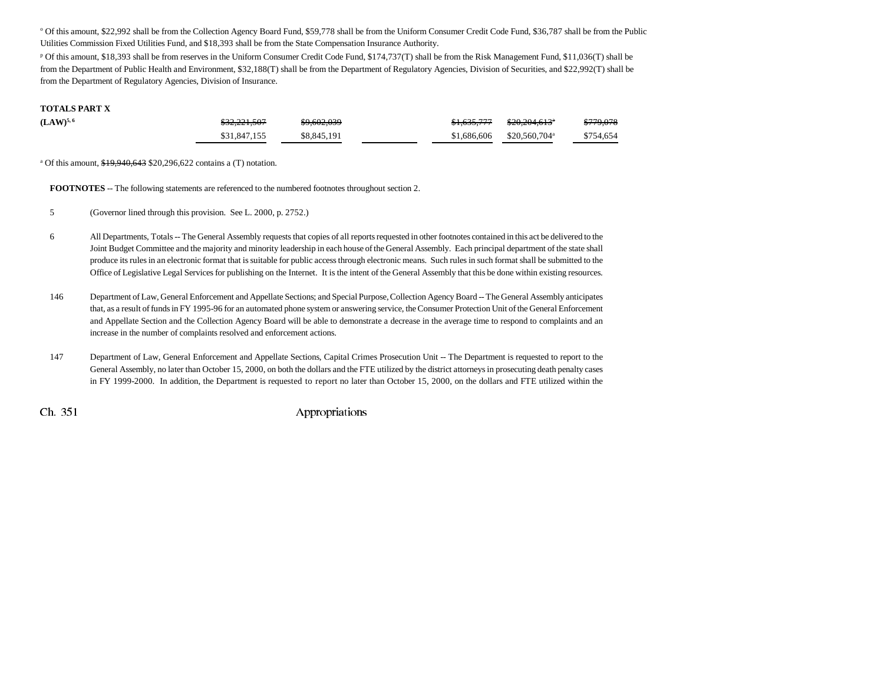o Of this amount, \$22,992 shall be from the Collection Agency Board Fund, \$59,778 shall be from the Uniform Consumer Credit Code Fund, \$36,787 shall be from the Public Utilities Commission Fixed Utilities Fund, and \$18,393 shall be from the State Compensation Insurance Authority.

p Of this amount, \$18,393 shall be from reserves in the Uniform Consumer Credit Code Fund, \$174,737(T) shall be from the Risk Management Fund, \$11,036(T) shall be from the Department of Public Health and Environment, \$32,188(T) shall be from the Department of Regulatory Agencies, Division of Securities, and \$22,992(T) shall be from the Department of Regulatory Agencies, Division of Insurance.

#### **TOTALS PART X**

| $(LAW)^{5,6}$ | \$32,221,507 | \$9,602,039 | <del>\$1,635,777</del> | \$20,204,613"                           | \$779,078 |
|---------------|--------------|-------------|------------------------|-----------------------------------------|-----------|
|               | \$31,847,155 | \$8,845,191 |                        | $$1,686,606$ $$20,560,704$ <sup>a</sup> | \$754,654 |

<sup>a</sup> Of this amount,  $$19,940,643$  \$20,296,622 contains a (T) notation.

**FOOTNOTES** -- The following statements are referenced to the numbered footnotes throughout section 2.

- 5 (Governor lined through this provision. See L. 2000, p. 2752.)
- 6 All Departments, Totals -- The General Assembly requests that copies of all reports requested in other footnotes contained in this act be delivered to the Joint Budget Committee and the majority and minority leadership in each house of the General Assembly. Each principal department of the state shall produce its rules in an electronic format that is suitable for public access through electronic means. Such rules in such format shall be submitted to the Office of Legislative Legal Services for publishing on the Internet. It is the intent of the General Assembly that this be done within existing resources.
- 146 Department of Law, General Enforcement and Appellate Sections; and Special Purpose, Collection Agency Board -- The General Assembly anticipates that, as a result of funds in FY 1995-96 for an automated phone system or answering service, the Consumer Protection Unit of the General Enforcement and Appellate Section and the Collection Agency Board will be able to demonstrate a decrease in the average time to respond to complaints and an increase in the number of complaints resolved and enforcement actions.
- 147 Department of Law, General Enforcement and Appellate Sections, Capital Crimes Prosecution Unit -- The Department is requested to report to the General Assembly, no later than October 15, 2000, on both the dollars and the FTE utilized by the district attorneys in prosecuting death penalty cases in FY 1999-2000. In addition, the Department is requested to report no later than October 15, 2000, on the dollars and FTE utilized within the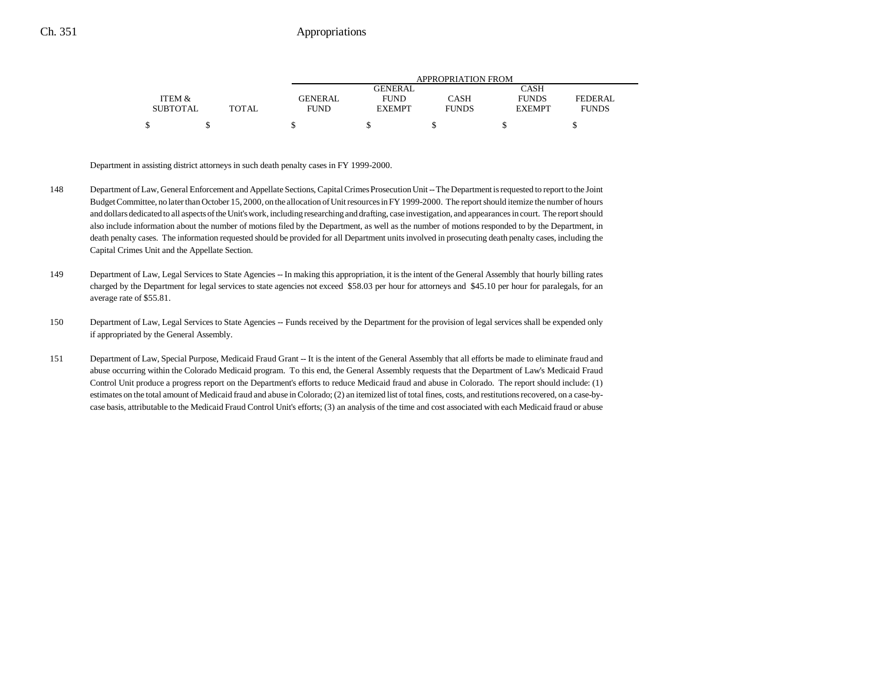|                 |              |                |                | APPROPRIATION FROM |               |              |
|-----------------|--------------|----------------|----------------|--------------------|---------------|--------------|
|                 |              |                | <b>GENERAL</b> |                    | CASH          |              |
| ITEM &          |              | <b>GENERAL</b> | <b>FUND</b>    | CASH               | <b>FUNDS</b>  | FEDERAL      |
| <b>SUBTOTAL</b> | <b>TOTAL</b> | <b>FUND</b>    | <b>EXEMPT</b>  | <b>FUNDS</b>       | <b>EXEMPT</b> | <b>FUNDS</b> |
|                 |              |                |                |                    |               |              |

Department in assisting district attorneys in such death penalty cases in FY 1999-2000.

- 148 Department of Law, General Enforcement and Appellate Sections, Capital Crimes Prosecution Unit -- The Department is requested to report to the Joint Budget Committee, no later than October 15, 2000, on the allocation of Unit resources in FY 1999-2000. The report should itemize the number of hours and dollars dedicated to all aspects of the Unit's work, including researching and drafting, case investigation, and appearances in court. The report should also include information about the number of motions filed by the Department, as well as the number of motions responded to by the Department, in death penalty cases. The information requested should be provided for all Department units involved in prosecuting death penalty cases, including the Capital Crimes Unit and the Appellate Section.
- 149 Department of Law, Legal Services to State Agencies -- In making this appropriation, it is the intent of the General Assembly that hourly billing rates charged by the Department for legal services to state agencies not exceed \$58.03 per hour for attorneys and \$45.10 per hour for paralegals, for an average rate of \$55.81.
- 150 Department of Law, Legal Services to State Agencies -- Funds received by the Department for the provision of legal services shall be expended only if appropriated by the General Assembly.
- 151 Department of Law, Special Purpose, Medicaid Fraud Grant -- It is the intent of the General Assembly that all efforts be made to eliminate fraud and abuse occurring within the Colorado Medicaid program. To this end, the General Assembly requests that the Department of Law's Medicaid Fraud Control Unit produce a progress report on the Department's efforts to reduce Medicaid fraud and abuse in Colorado. The report should include: (1) estimates on the total amount of Medicaid fraud and abuse in Colorado; (2) an itemized list of total fines, costs, and restitutions recovered, on a case-bycase basis, attributable to the Medicaid Fraud Control Unit's efforts; (3) an analysis of the time and cost associated with each Medicaid fraud or abuse